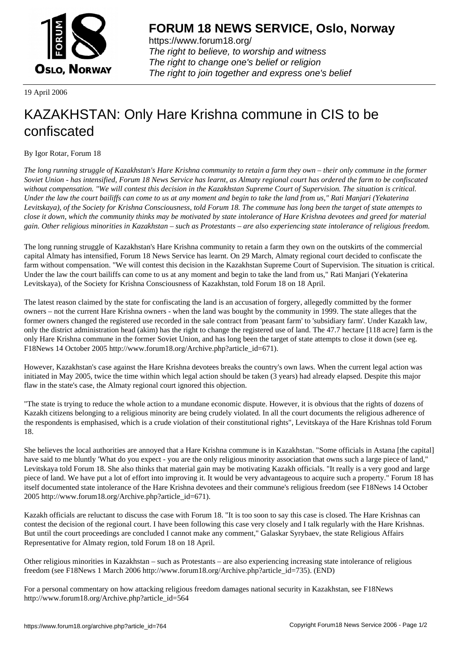

https://www.forum18.org/ The right to believe, to worship and witness The right to change one's belief or religion [The right to join together a](https://www.forum18.org/)nd express one's belief

19 April 2006

## [KAZAKHSTAN:](https://www.forum18.org) Only Hare Krishna commune in CIS to be confiscated

By Igor Rotar, Forum 18

*The long running struggle of Kazakhstan's Hare Krishna community to retain a farm they own – their only commune in the former Soviet Union - has intensified, Forum 18 News Service has learnt, as Almaty regional court has ordered the farm to be confiscated without compensation. "We will contest this decision in the Kazakhstan Supreme Court of Supervision. The situation is critical. Under the law the court bailiffs can come to us at any moment and begin to take the land from us," Rati Manjari (Yekaterina Levitskaya), of the Society for Krishna Consciousness, told Forum 18. The commune has long been the target of state attempts to close it down, which the community thinks may be motivated by state intolerance of Hare Krishna devotees and greed for material gain. Other religious minorities in Kazakhstan – such as Protestants – are also experiencing state intolerance of religious freedom.*

The long running struggle of Kazakhstan's Hare Krishna community to retain a farm they own on the outskirts of the commercial capital Almaty has intensified, Forum 18 News Service has learnt. On 29 March, Almaty regional court decided to confiscate the farm without compensation. "We will contest this decision in the Kazakhstan Supreme Court of Supervision. The situation is critical. Under the law the court bailiffs can come to us at any moment and begin to take the land from us," Rati Manjari (Yekaterina Levitskaya), of the Society for Krishna Consciousness of Kazakhstan, told Forum 18 on 18 April.

The latest reason claimed by the state for confiscating the land is an accusation of forgery, allegedly committed by the former owners – not the current Hare Krishna owners - when the land was bought by the community in 1999. The state alleges that the former owners changed the registered use recorded in the sale contract from 'peasant farm' to 'subsidiary farm'. Under Kazakh law, only the district administration head (akim) has the right to change the registered use of land. The 47.7 hectare [118 acre] farm is the only Hare Krishna commune in the former Soviet Union, and has long been the target of state attempts to close it down (see eg. F18News 14 October 2005 http://www.forum18.org/Archive.php?article\_id=671).

However, Kazakhstan's case against the Hare Krishna devotees breaks the country's own laws. When the current legal action was initiated in May 2005, twice the time within which legal action should be taken (3 years) had already elapsed. Despite this major flaw in the state's case, the Almaty regional court ignored this objection.

"The state is trying to reduce the whole action to a mundane economic dispute. However, it is obvious that the rights of dozens of Kazakh citizens belonging to a religious minority are being crudely violated. In all the court documents the religious adherence of the respondents is emphasised, which is a crude violation of their constitutional rights", Levitskaya of the Hare Krishnas told Forum 18.

She believes the local authorities are annoyed that a Hare Krishna commune is in Kazakhstan. "Some officials in Astana [the capital] have said to me bluntly 'What do you expect - you are the only religious minority association that owns such a large piece of land," Levitskaya told Forum 18. She also thinks that material gain may be motivating Kazakh officials. "It really is a very good and large piece of land. We have put a lot of effort into improving it. It would be very advantageous to acquire such a property." Forum 18 has itself documented state intolerance of the Hare Krishna devotees and their commune's religious freedom (see F18News 14 October 2005 http://www.forum18.org/Archive.php?article\_id=671).

Kazakh officials are reluctant to discuss the case with Forum 18. "It is too soon to say this case is closed. The Hare Krishnas can contest the decision of the regional court. I have been following this case very closely and I talk regularly with the Hare Krishnas. But until the court proceedings are concluded I cannot make any comment," Galaskar Syrybaev, the state Religious Affairs Representative for Almaty region, told Forum 18 on 18 April.

Other religious minorities in Kazakhstan – such as Protestants – are also experiencing increasing state intolerance of religious freedom (see F18News 1 March 2006 http://www.forum18.org/Archive.php?article\_id=735). (END)

For a personal commentary on how attacking religious freedom damages national security in Kazakhstan, see F18News http://www.forum18.org/Archive.php?article\_id=564